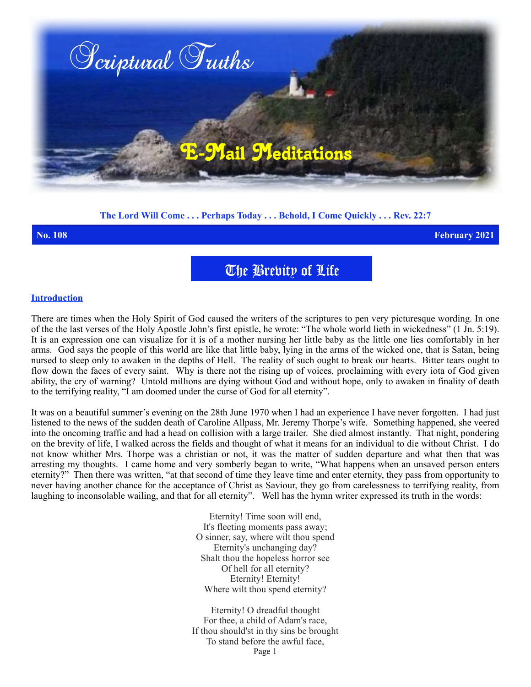

## **The Lord Will Come . . . Perhaps Today . . . Behold, I Come Quickly . . . Rev. 22:7**

**No. 108 February 2021**

The Brevity of Life

## **Introduction**

There are times when the Holy Spirit of God caused the writers of the scriptures to pen very picturesque wording. In one of the the last verses of the Holy Apostle John's first epistle, he wrote: "The whole world lieth in wickedness" (1 Jn. 5:19). It is an expression one can visualize for it is of a mother nursing her little baby as the little one lies comfortably in her arms. God says the people of this world are like that little baby, lying in the arms of the wicked one, that is Satan, being nursed to sleep only to awaken in the depths of Hell. The reality of such ought to break our hearts. Bitter tears ought to flow down the faces of every saint. Why is there not the rising up of voices, proclaiming with every iota of God given ability, the cry of warning? Untold millions are dying without God and without hope, only to awaken in finality of death to the terrifying reality, "I am doomed under the curse of God for all eternity".

It was on a beautiful summer's evening on the 28th June 1970 when I had an experience I have never forgotten. I had just listened to the news of the sudden death of Caroline Allpass, Mr. Jeremy Thorpe's wife. Something happened, she veered into the oncoming traffic and had a head on collision with a large trailer. She died almost instantly. That night, pondering on the brevity of life, I walked across the fields and thought of what it means for an individual to die without Christ. I do not know whither Mrs. Thorpe was a christian or not, it was the matter of sudden departure and what then that was arresting my thoughts. I came home and very somberly began to write, "What happens when an unsaved person enters eternity?" Then there was written, "at that second of time they leave time and enter eternity, they pass from opportunity to never having another chance for the acceptance of Christ as Saviour, they go from carelessness to terrifying reality, from laughing to inconsolable wailing, and that for all eternity". Well has the hymn writer expressed its truth in the words:

> Eternity! Time soon will end, It's fleeting moments pass away; O sinner, say, where wilt thou spend Eternity's unchanging day? Shalt thou the hopeless horror see Of hell for all eternity? Eternity! Eternity! Where wilt thou spend eternity?

Eternity! O dreadful thought For thee, a child of Adam's race, If thou should'st in thy sins be brought To stand before the awful face, Page 1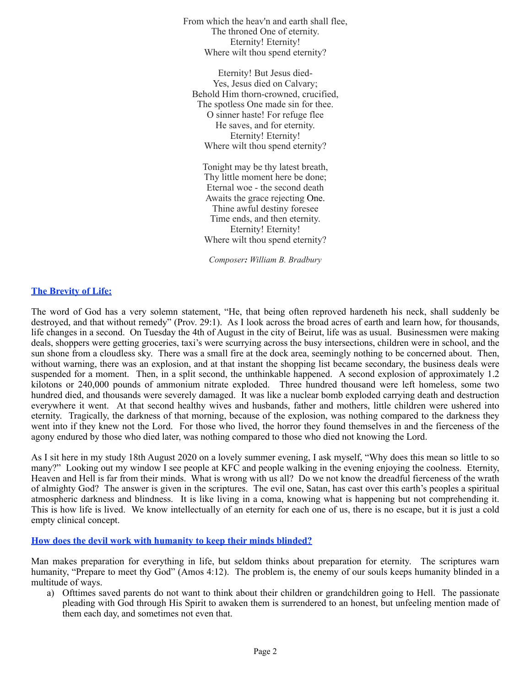From which the heav'n and earth shall flee, The throned One of eternity. Eternity! Eternity! Where wilt thou spend eternity?

Eternity! But Jesus died-Yes, Jesus died on Calvary; Behold Him thorn-crowned, crucified, The spotless One made sin for thee. O sinner haste! For refuge flee He saves, and for eternity. Eternity! Eternity! Where wilt thou spend eternity?

Tonight may be thy latest breath, Thy little moment here be done; Eternal woe - the second death Awaits the grace rejecting One. Thine awful destiny foresee Time ends, and then eternity. Eternity! Eternity! Where wilt thou spend eternity?

*Composer: William B. Bradbury*

## **The Brevity of Life:**

The word of God has a very solemn statement, "He, that being often reproved hardeneth his neck, shall suddenly be destroyed, and that without remedy" (Prov. 29:1). As I look across the broad acres of earth and learn how, for thousands, life changes in a second. On Tuesday the 4th of August in the city of Beirut, life was as usual. Businessmen were making deals, shoppers were getting groceries, taxi's were scurrying across the busy intersections, children were in school, and the sun shone from a cloudless sky. There was a small fire at the dock area, seemingly nothing to be concerned about. Then, without warning, there was an explosion, and at that instant the shopping list became secondary, the business deals were suspended for a moment. Then, in a split second, the unthinkable happened. A second explosion of approximately 1.2 kilotons or 240,000 pounds of ammonium nitrate exploded. Three hundred thousand were left homeless, some two hundred died, and thousands were severely damaged. It was like a nuclear bomb exploded carrying death and destruction everywhere it went. At that second healthy wives and husbands, father and mothers, little children were ushered into eternity. Tragically, the darkness of that morning, because of the explosion, was nothing compared to the darkness they went into if they knew not the Lord. For those who lived, the horror they found themselves in and the fierceness of the agony endured by those who died later, was nothing compared to those who died not knowing the Lord.

As I sit here in my study 18th August 2020 on a lovely summer evening, I ask myself, "Why does this mean so little to so many?" Looking out my window I see people at KFC and people walking in the evening enjoying the coolness. Eternity, Heaven and Hell is far from their minds. What is wrong with us all? Do we not know the dreadful fierceness of the wrath of almighty God? The answer is given in the scriptures. The evil one, Satan, has cast over this earth's peoples a spiritual atmospheric darkness and blindness. It is like living in a coma, knowing what is happening but not comprehending it. This is how life is lived. We know intellectually of an eternity for each one of us, there is no escape, but it is just a cold empty clinical concept.

## **How does the devil work with humanity to keep their minds blinded?**

Man makes preparation for everything in life, but seldom thinks about preparation for eternity. The scriptures warn humanity, "Prepare to meet thy God" (Amos 4:12). The problem is, the enemy of our souls keeps humanity blinded in a multitude of ways.

a) Ofttimes saved parents do not want to think about their children or grandchildren going to Hell. The passionate pleading with God through His Spirit to awaken them is surrendered to an honest, but unfeeling mention made of them each day, and sometimes not even that.